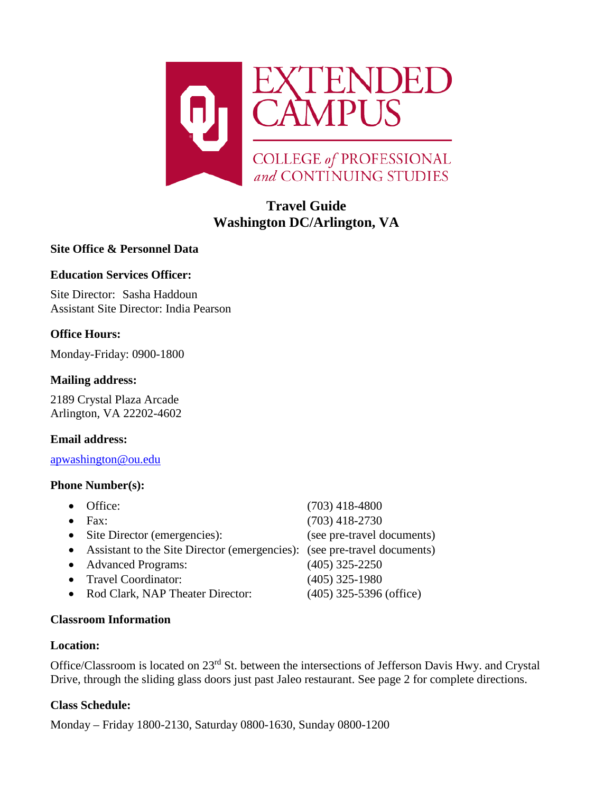

# **Travel Guide Washington DC/Arlington, VA**

# **Site Office & Personnel Data**

# **Education Services Officer:**

Site Director: Sasha Haddoun Assistant Site Director: India Pearson

# **Office Hours:**

Monday-Friday: 0900-1800

# **Mailing address:**

2189 Crystal Plaza Arcade Arlington, VA 22202-4602

# **Email address:**

[apwashington@ou.edu](mailto:apwashington@ou.edu)

## **Phone Number(s):**

| Office:                                                                  | $(703)$ 418-4800           |
|--------------------------------------------------------------------------|----------------------------|
| $\text{Fax}:$                                                            | $(703)$ 418-2730           |
| • Site Director (emergencies):                                           | (see pre-travel documents) |
| Assistant to the Site Director (emergencies): (see pre-travel documents) |                            |
| <b>Advanced Programs:</b>                                                | $(405)$ 325-2250           |
| <b>Travel Coordinator:</b>                                               | $(405)$ 325-1980           |
| Rod Clark, NAP Theater Director:                                         | $(405)$ 325-5396 (office)  |
|                                                                          |                            |

# **Classroom Information**

### **Location:**

Office/Classroom is located on 23rd St. between the intersections of Jefferson Davis Hwy. and Crystal Drive, through the sliding glass doors just past Jaleo restaurant. See page 2 for complete directions.

# **Class Schedule:**

Monday – Friday 1800-2130, Saturday 0800-1630, Sunday 0800-1200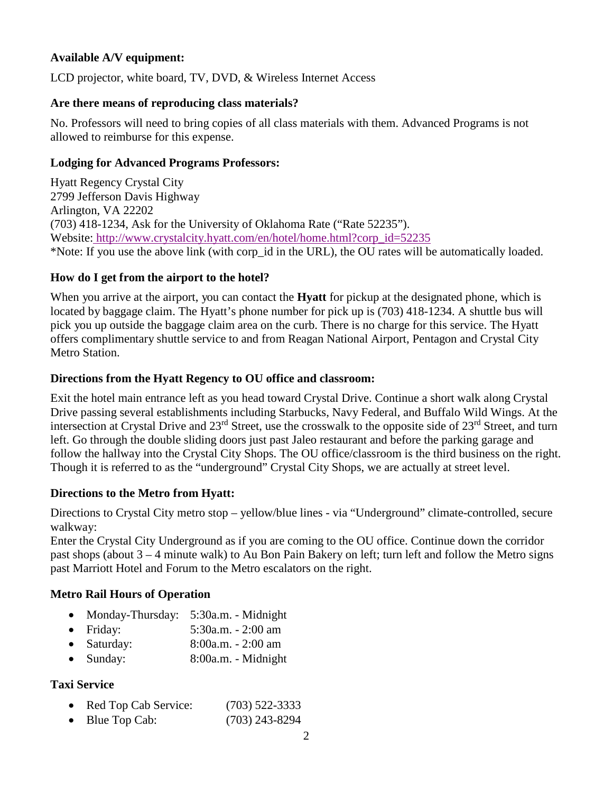# **Available A/V equipment:**

LCD projector, white board, TV, DVD, & Wireless Internet Access

### **Are there means of reproducing class materials?**

No. Professors will need to bring copies of all class materials with them. Advanced Programs is not allowed to reimburse for this expense.

#### **Lodging for Advanced Programs Professors:**

Hyatt Regency Crystal City 2799 Jefferson Davis Highway Arlington, VA 22202 (703) 418-1234, Ask for the University of Oklahoma Rate ("Rate 52235"). Website: [http://www.crystalcity.hyatt.com/en/hotel/home.html?corp\\_id=52235](http://www.crystalcity.hyatt.com/en/hotel/home.html?corp_id=52235) \*Note: If you use the above link (with corp\_id in the URL), the OU rates will be automatically loaded.

#### **How do I get from the airport to the hotel?**

When you arrive at the airport, you can contact the **Hyatt** for pickup at the designated phone, which is located by baggage claim. The Hyatt's phone number for pick up is (703) 418-1234. A shuttle bus will pick you up outside the baggage claim area on the curb. There is no charge for this service. The Hyatt offers complimentary shuttle service to and from Reagan National Airport, Pentagon and Crystal City Metro Station.

#### **Directions from the Hyatt Regency to OU office and classroom:**

Exit the hotel main entrance left as you head toward Crystal Drive. Continue a short walk along Crystal Drive passing several establishments including Starbucks, Navy Federal, and Buffalo Wild Wings. At the intersection at Crystal Drive and 23rd Street, use the crosswalk to the opposite side of 23rd Street, and turn left. Go through the double sliding doors just past Jaleo restaurant and before the parking garage and follow the hallway into the Crystal City Shops. The OU office/classroom is the third business on the right. Though it is referred to as the "underground" Crystal City Shops, we are actually at street level.

### **Directions to the Metro from Hyatt:**

Directions to Crystal City metro stop – yellow/blue lines - via "Underground" climate-controlled, secure walkway:

Enter the Crystal City Underground as if you are coming to the OU office. Continue down the corridor past shops (about 3 – 4 minute walk) to Au Bon Pain Bakery on left; turn left and follow the Metro signs past Marriott Hotel and Forum to the Metro escalators on the right.

### **Metro Rail Hours of Operation**

- Monday-Thursday: 5:30a.m. Midnight
- Friday: 5:30a.m. 2:00 am
- Saturday: 8:00a.m. 2:00 am
- Sunday: 8:00a.m. Midnight

# **Taxi Service**

- Red Top Cab Service: (703) 522-3333
- Blue Top Cab: (703) 243-8294